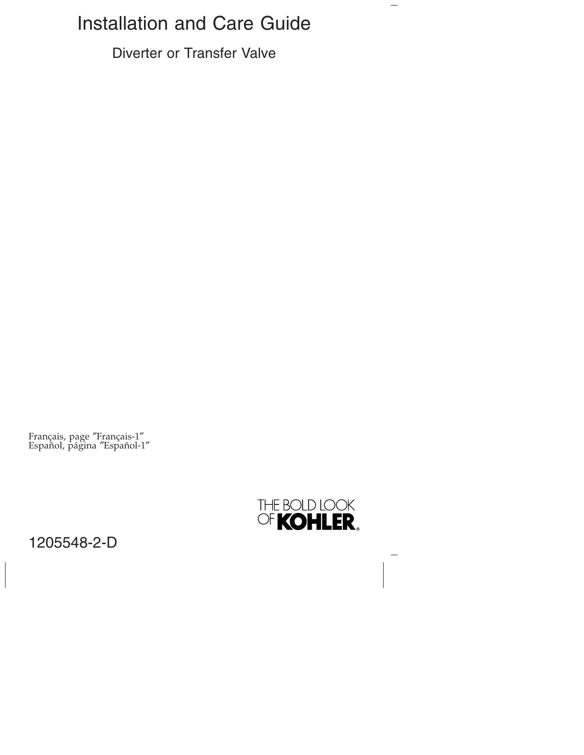# Installation and Care Guide

Diverter or Transfer Valve

Français, page ″Français-1″ Español, página ″Español-1″



 $\overline{\phantom{0}}$ 

1205548-2-D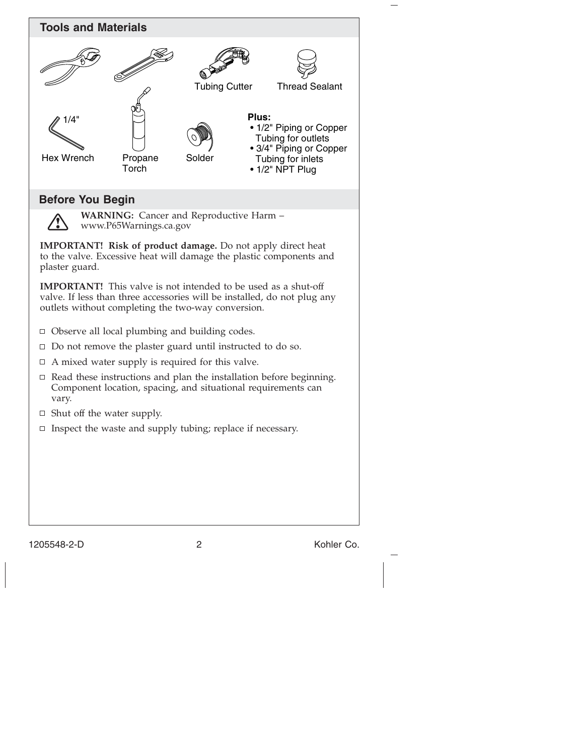

1205548-2-D 2 Kohler Co.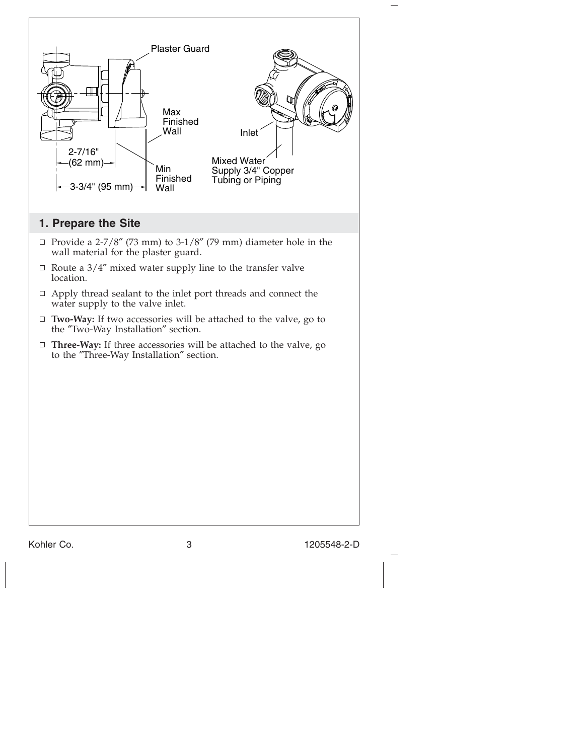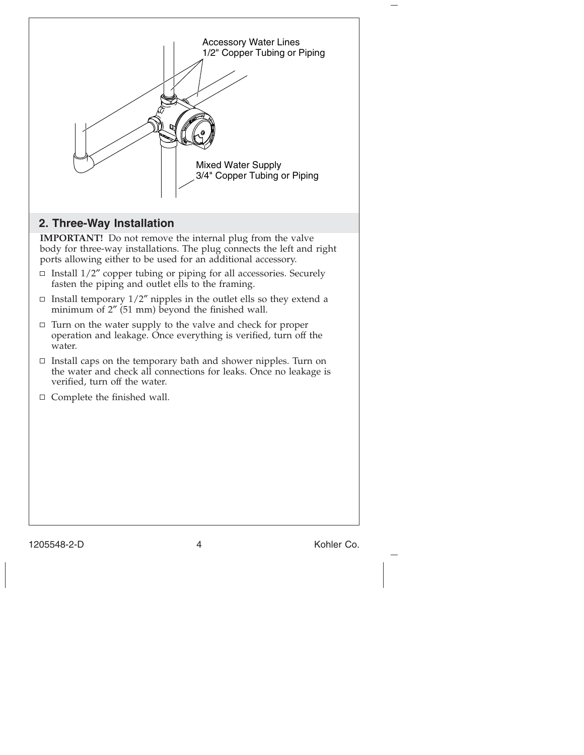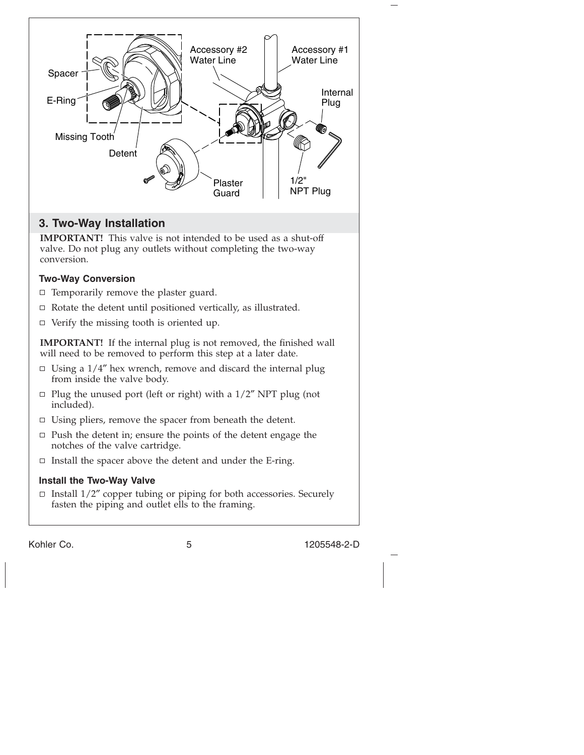

# **3. Two-Way Installation**

**IMPORTANT!** This valve is not intended to be used as a shut-off valve. Do not plug any outlets without completing the two-way conversion.

# **Two-Way Conversion**

- $\Box$  Temporarily remove the plaster guard.
- $\Box$  Rotate the detent until positioned vertically, as illustrated.
- $\Box$  Verify the missing tooth is oriented up.

**IMPORTANT!** If the internal plug is not removed, the finished wall will need to be removed to perform this step at a later date.

- $\Box$  Using a 1/4" hex wrench, remove and discard the internal plug from inside the valve body.
- $\Box$  Plug the unused port (left or right) with a 1/2" NPT plug (not included).
- $\Box$  Using pliers, remove the spacer from beneath the detent.
- $\Box$  Push the detent in; ensure the points of the detent engage the notches of the valve cartridge.
- $\Box$  Install the spacer above the detent and under the E-ring.

## **Install the Two-Way Valve**

 $\Box$  Install 1/2" copper tubing or piping for both accessories. Securely fasten the piping and outlet ells to the framing.

Kohler Co. 5 1205548-2-D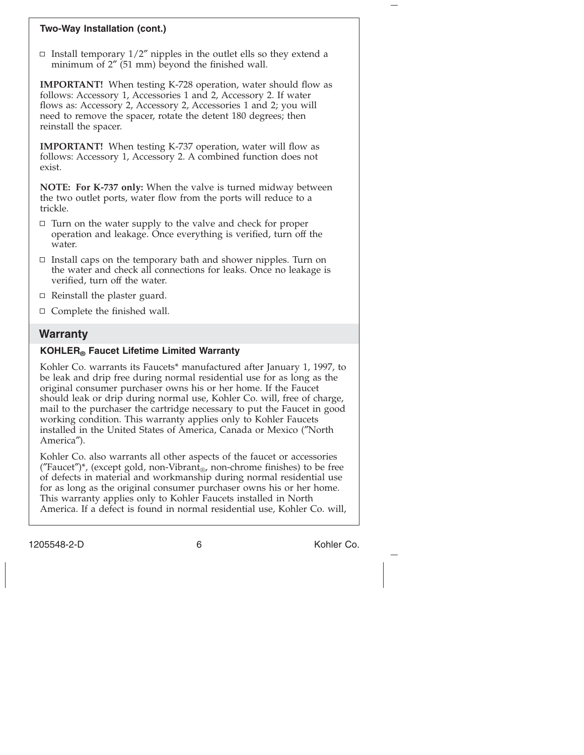#### **Two-Way Installation (cont.)**

□ Install temporary  $1/2''$  nipples in the outlet ells so they extend a minimum of 2″ (51 mm) beyond the finished wall.

**IMPORTANT!** When testing K-728 operation, water should flow as follows: Accessory 1, Accessories 1 and 2, Accessory 2. If water flows as: Accessory 2, Accessory 2, Accessories 1 and 2; you will need to remove the spacer, rotate the detent 180 degrees; then reinstall the spacer.

**IMPORTANT!** When testing K-737 operation, water will flow as follows: Accessory 1, Accessory 2. A combined function does not exist.

**NOTE: For K-737 only:** When the valve is turned midway between the two outlet ports, water flow from the ports will reduce to a trickle.

- $\Box$  Turn on the water supply to the valve and check for proper operation and leakage. Once everything is verified, turn off the water.
- $\Box$  Install caps on the temporary bath and shower nipples. Turn on the water and check all connections for leaks. Once no leakage is verified, turn off the water.
- $\Box$  Reinstall the plaster guard.
- $\Box$  Complete the finished wall.

## **Warranty**

#### **KOHLER® Faucet Lifetime Limited Warranty**

Kohler Co. warrants its Faucets\* manufactured after January 1, 1997, to be leak and drip free during normal residential use for as long as the original consumer purchaser owns his or her home. If the Faucet should leak or drip during normal use, Kohler Co. will, free of charge, mail to the purchaser the cartridge necessary to put the Faucet in good working condition. This warranty applies only to Kohler Faucets installed in the United States of America, Canada or Mexico (″North America″).

Kohler Co. also warrants all other aspects of the faucet or accessories ("Faucet")\*, (except gold, non-Vibrant<sub>®</sub>, non-chrome finishes) to be free of defects in material and workmanship during normal residential use for as long as the original consumer purchaser owns his or her home. This warranty applies only to Kohler Faucets installed in North America. If a defect is found in normal residential use, Kohler Co. will,

1205548-2-D 6 Kohler Co.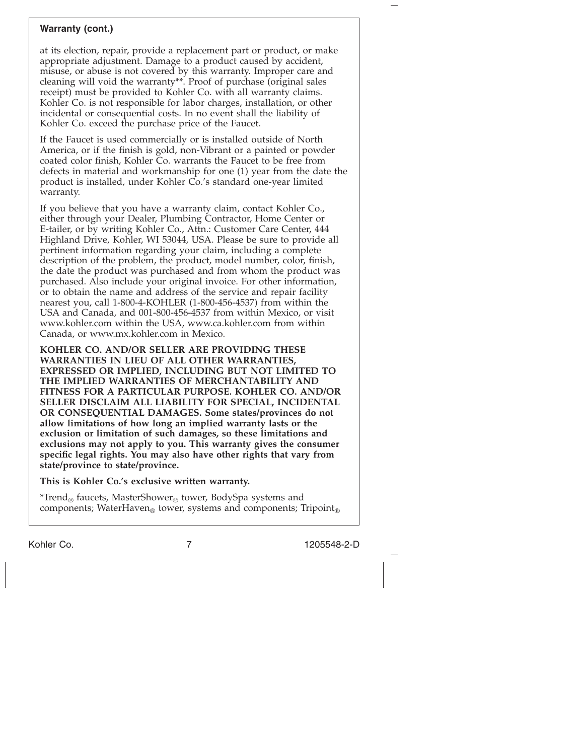#### **Warranty (cont.)**

at its election, repair, provide a replacement part or product, or make appropriate adjustment. Damage to a product caused by accident, misuse, or abuse is not covered by this warranty. Improper care and cleaning will void the warranty\*\*. Proof of purchase (original sales receipt) must be provided to Kohler Co. with all warranty claims. Kohler Co. is not responsible for labor charges, installation, or other incidental or consequential costs. In no event shall the liability of Kohler Co. exceed the purchase price of the Faucet.

If the Faucet is used commercially or is installed outside of North America, or if the finish is gold, non-Vibrant or a painted or powder coated color finish, Kohler Co. warrants the Faucet to be free from defects in material and workmanship for one (1) year from the date the product is installed, under Kohler Co.'s standard one-year limited warranty.

If you believe that you have a warranty claim, contact Kohler Co., either through your Dealer, Plumbing Contractor, Home Center or E-tailer, or by writing Kohler Co., Attn.: Customer Care Center, 444 Highland Drive, Kohler, WI 53044, USA. Please be sure to provide all pertinent information regarding your claim, including a complete description of the problem, the product, model number, color, finish, the date the product was purchased and from whom the product was purchased. Also include your original invoice. For other information, or to obtain the name and address of the service and repair facility nearest you, call 1-800-4-KOHLER (1-800-456-4537) from within the USA and Canada, and 001-800-456-4537 from within Mexico, or visit www.kohler.com within the USA, www.ca.kohler.com from within Canada, or www.mx.kohler.com in Mexico.

**KOHLER CO. AND/OR SELLER ARE PROVIDING THESE WARRANTIES IN LIEU OF ALL OTHER WARRANTIES, EXPRESSED OR IMPLIED, INCLUDING BUT NOT LIMITED TO THE IMPLIED WARRANTIES OF MERCHANTABILITY AND FITNESS FOR A PARTICULAR PURPOSE. KOHLER CO. AND/OR SELLER DISCLAIM ALL LIABILITY FOR SPECIAL, INCIDENTAL OR CONSEQUENTIAL DAMAGES. Some states/provinces do not allow limitations of how long an implied warranty lasts or the exclusion or limitation of such damages, so these limitations and exclusions may not apply to you. This warranty gives the consumer specific legal rights. You may also have other rights that vary from state/province to state/province.**

**This is Kohler Co.'s exclusive written warranty.**

\*Trend<sub>®</sub> faucets, MasterShower<sub>®</sub> tower, BodySpa systems and components; WaterHaven® tower, systems and components; Tripoint®

Kohler Co. 7 1205548-2-D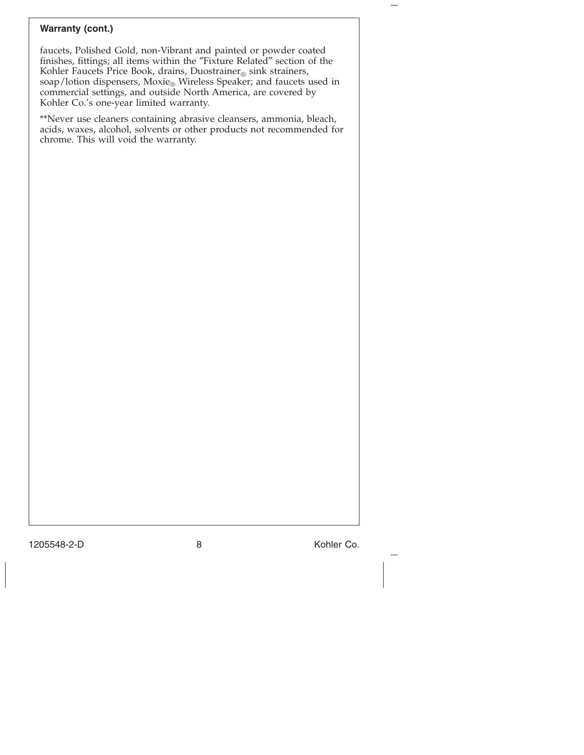## **Warranty (cont.)**

faucets, Polished Gold, non-Vibrant and painted or powder coated finishes, fittings; all items within the ″Fixture Related″ section of the Kohler Faucets Price Book, drains, Duostrainer® sink strainers, soap/lotion dispensers,  ${\rm Movie}_\circledast$  Wireless Speaker; and faucets used in commercial settings, and outside North America, are covered by Kohler Co.'s one-year limited warranty.

\*\*Never use cleaners containing abrasive cleansers, ammonia, bleach, acids, waxes, alcohol, solvents or other products not recommended for chrome. This will void the warranty.

1205548-2-D 8 Kohler Co.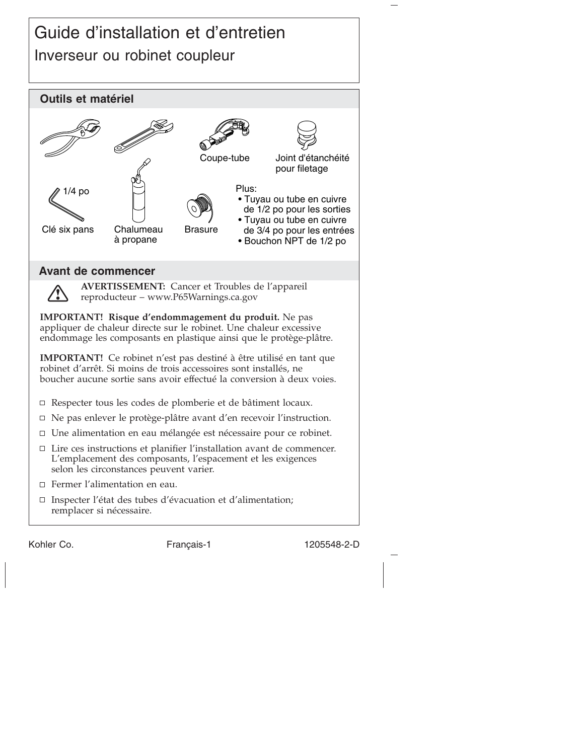# Guide d'installation et d'entretien Inverseur ou robinet coupleur



Kohler Co. The Français-1 1205548-2-D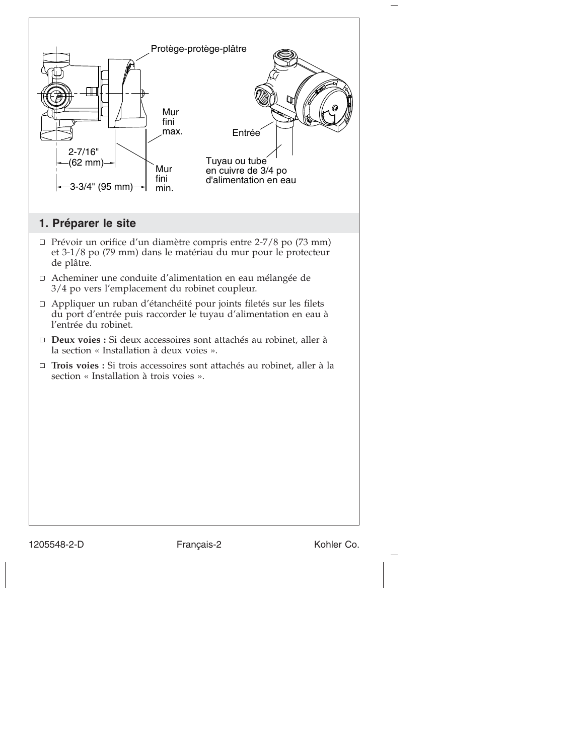

1205548-2-D Français-2 Kohler Co.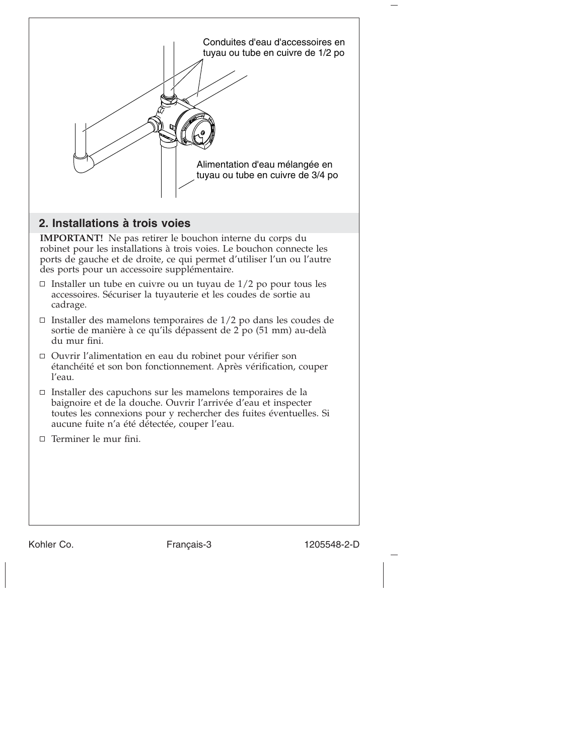

# **2. Installations à trois voies**

**IMPORTANT!** Ne pas retirer le bouchon interne du corps du robinet pour les installations à trois voies. Le bouchon connecte les ports de gauche et de droite, ce qui permet d'utiliser l'un ou l'autre des ports pour un accessoire supplémentaire.

- $\Box$  Installer un tube en cuivre ou un tuyau de 1/2 po pour tous les accessoires. Sécuriser la tuyauterie et les coudes de sortie au cadrage.
- $\Box$  Installer des mamelons temporaires de 1/2 po dans les coudes de sortie de manière à ce qu'ils dépassent de 2 po (51 mm) au-delà du mur fini.
- Ouvrir l'alimentation en eau du robinet pour vérifier son étanchéité et son bon fonctionnement. Après vérification, couper l'eau.
- $\Box$  Installer des capuchons sur les mamelons temporaires de la baignoire et de la douche. Ouvrir l'arrivée d'eau et inspecter toutes les connexions pour y rechercher des fuites éventuelles. Si aucune fuite n'a été détectée, couper l'eau.
- $\Box$  Terminer le mur fini.

Kohler Co. **Français-3** 1205548-2-D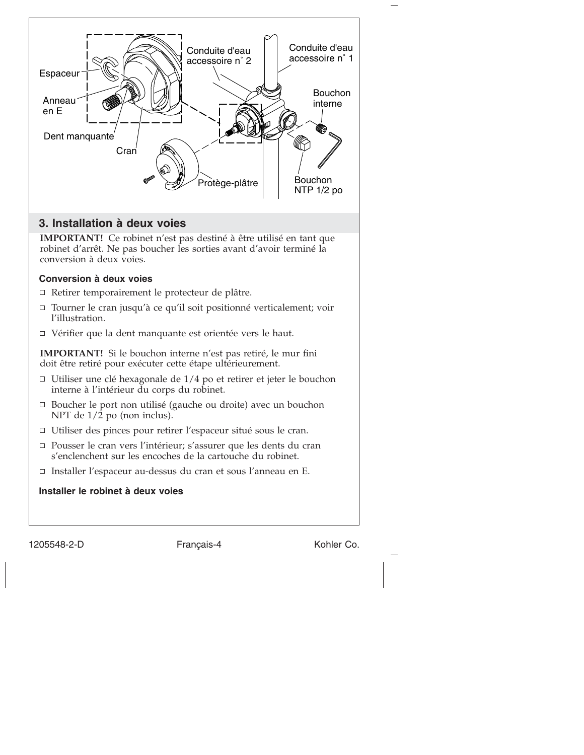

**IMPORTANT!** Ce robinet n'est pas destiné à être utilisé en tant que robinet d'arrêt. Ne pas boucher les sorties avant d'avoir terminé la conversion à deux voies.

#### **Conversion à deux voies**

- Retirer temporairement le protecteur de plâtre.
- □ Tourner le cran jusqu'à ce qu'il soit positionné verticalement; voir l'illustration.
- Vérifier que la dent manquante est orientée vers le haut.

**IMPORTANT!** Si le bouchon interne n'est pas retiré, le mur fini doit être retiré pour exécuter cette étape ultérieurement.

- $\Box$  Utiliser une clé hexagonale de 1/4 po et retirer et jeter le bouchon interne à l'intérieur du corps du robinet.
- $\Box$  Boucher le port non utilisé (gauche ou droite) avec un bouchon NPT de  $1/\overline{2}$  po (non inclus).
- Utiliser des pinces pour retirer l'espaceur situé sous le cran.
- □ Pousser le cran vers l'intérieur; s'assurer que les dents du cran s'enclenchent sur les encoches de la cartouche du robinet.
- □ Installer l'espaceur au-dessus du cran et sous l'anneau en E.

**Installer le robinet à deux voies**

1205548-2-D Français-4 Kohler Co.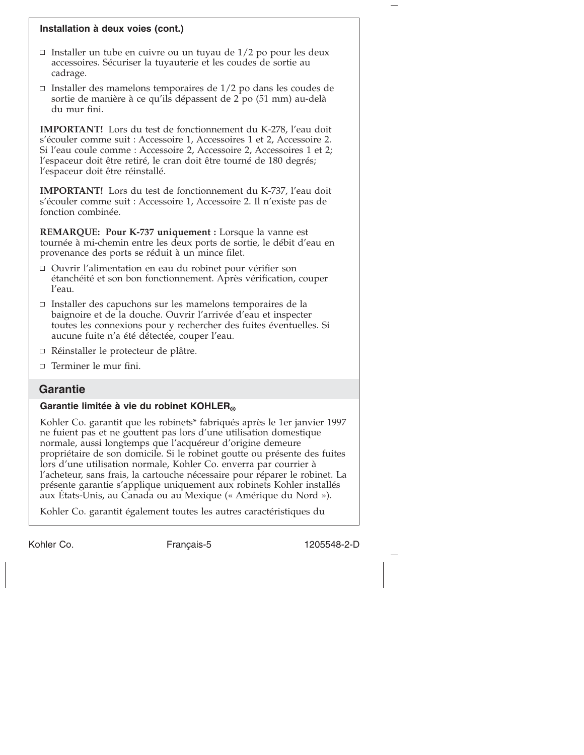#### **Installation à deux voies (cont.)**

- $\Box$  Installer un tube en cuivre ou un tuyau de 1/2 po pour les deux accessoires. Sécuriser la tuyauterie et les coudes de sortie au cadrage.
- $\Box$  Installer des mamelons temporaires de 1/2 po dans les coudes de sortie de manière à ce qu'ils dépassent de 2 po (51 mm) au-delà du mur fini.

**IMPORTANT!** Lors du test de fonctionnement du K-278, l'eau doit s'écouler comme suit : Accessoire 1, Accessoires 1 et 2, Accessoire 2. Si l'eau coule comme : Accessoire 2, Accessoire 2, Accessoires 1 et 2; l'espaceur doit être retiré, le cran doit être tourné de 180 degrés; l'espaceur doit être réinstallé.

**IMPORTANT!** Lors du test de fonctionnement du K-737, l'eau doit s'écouler comme suit : Accessoire 1, Accessoire 2. Il n'existe pas de fonction combinée.

**REMARQUE: Pour K-737 uniquement :** Lorsque la vanne est tournée à mi-chemin entre les deux ports de sortie, le débit d'eau en provenance des ports se réduit à un mince filet.

- Ouvrir l'alimentation en eau du robinet pour vérifier son étanchéité et son bon fonctionnement. Après vérification, couper l'eau.
- $\Box$  Installer des capuchons sur les mamelons temporaires de la baignoire et de la douche. Ouvrir l'arrivée d'eau et inspecter toutes les connexions pour y rechercher des fuites éventuelles. Si aucune fuite n'a été détectée, couper l'eau.
- Réinstaller le protecteur de plâtre.
- $\Box$  Terminer le mur fini.

## **Garantie**

# Garantie limitée à vie du robinet KOHLER®

Kohler Co. garantit que les robinets\* fabriqués après le 1er janvier 1997 ne fuient pas et ne gouttent pas lors d'une utilisation domestique normale, aussi longtemps que l'acquéreur d'origine demeure propriétaire de son domicile. Si le robinet goutte ou présente des fuites lors d'une utilisation normale, Kohler Co. enverra par courrier à l'acheteur, sans frais, la cartouche nécessaire pour réparer le robinet. La présente garantie s'applique uniquement aux robinets Kohler installés aux États-Unis, au Canada ou au Mexique (« Amérique du Nord »).

Kohler Co. garantit également toutes les autres caractéristiques du

Kohler Co. The Français-5 1205548-2-D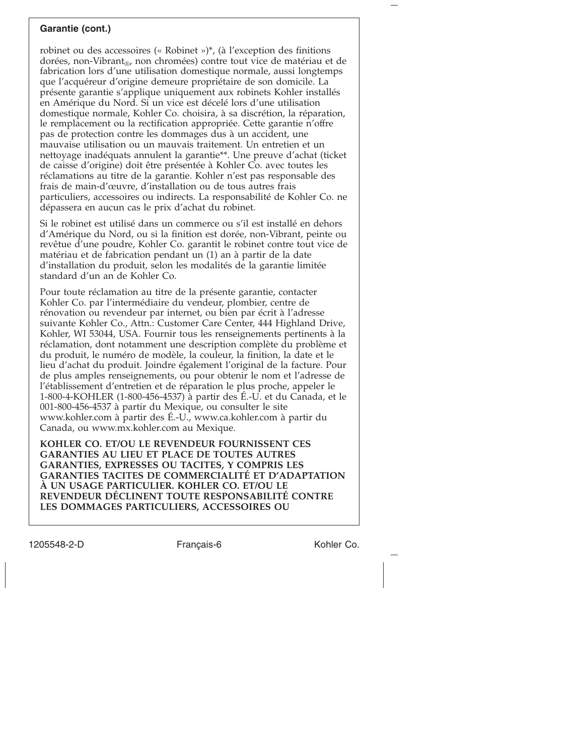#### **Garantie (cont.)**

robinet ou des accessoires (« Robinet »)\*, (à l'exception des finitions dorées, non-Vibrant<sub>®</sub>, non chromées) contre tout vice de matériau et de fabrication lors d'une utilisation domestique normale, aussi longtemps que l'acquéreur d'origine demeure propriétaire de son domicile. La présente garantie s'applique uniquement aux robinets Kohler installés en Amérique du Nord. Si un vice est décelé lors d'une utilisation domestique normale, Kohler Co. choisira, à sa discrétion, la réparation, le remplacement ou la rectification appropriée. Cette garantie n'offre pas de protection contre les dommages dus à un accident, une mauvaise utilisation ou un mauvais traitement. Un entretien et un nettoyage inadéquats annulent la garantie\*\*. Une preuve d'achat (ticket de caisse d'origine) doit être présentée à Kohler Co. avec toutes les réclamations au titre de la garantie. Kohler n'est pas responsable des frais de main-d'œuvre, d'installation ou de tous autres frais particuliers, accessoires ou indirects. La responsabilité de Kohler Co. ne dépassera en aucun cas le prix d'achat du robinet.

Si le robinet est utilisé dans un commerce ou s'il est installé en dehors d'Amérique du Nord, ou si la finition est dorée, non-Vibrant, peinte ou revêtue d'une poudre, Kohler Co. garantit le robinet contre tout vice de matériau et de fabrication pendant un (1) an à partir de la date d'installation du produit, selon les modalités de la garantie limitée standard d'un an de Kohler Co.

Pour toute réclamation au titre de la présente garantie, contacter Kohler Co. par l'intermédiaire du vendeur, plombier, centre de rénovation ou revendeur par internet, ou bien par écrit à l'adresse suivante Kohler Co., Attn.: Customer Care Center, 444 Highland Drive, Kohler, WI 53044, USA. Fournir tous les renseignements pertinents à la réclamation, dont notamment une description complète du problème et du produit, le numéro de modèle, la couleur, la finition, la date et le lieu d'achat du produit. Joindre également l'original de la facture. Pour de plus amples renseignements, ou pour obtenir le nom et l'adresse de l'établissement d'entretien et de réparation le plus proche, appeler le 1-800-4-KOHLER (1-800-456-4537) à partir des É.-U. et du Canada, et le 001-800-456-4537 à partir du Mexique, ou consulter le site www.kohler.com à partir des É.-U., www.ca.kohler.com à partir du Canada, ou www.mx.kohler.com au Mexique.

**KOHLER CO. ET/OU LE REVENDEUR FOURNISSENT CES GARANTIES AU LIEU ET PLACE DE TOUTES AUTRES GARANTIES, EXPRESSES OU TACITES, Y COMPRIS LES GARANTIES TACITES DE COMMERCIALITÉ ET D'ADAPTATION À UN USAGE PARTICULIER. KOHLER CO. ET/OU LE REVENDEUR DÉCLINENT TOUTE RESPONSABILITÉ CONTRE LES DOMMAGES PARTICULIERS, ACCESSOIRES OU**

1205548-2-D Français-6 Kohler Co.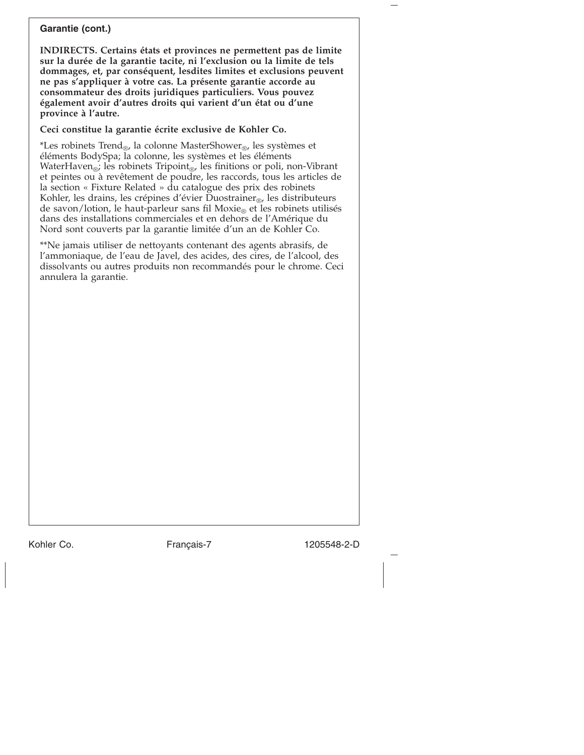#### **Garantie (cont.)**

**INDIRECTS. Certains états et provinces ne permettent pas de limite sur la durée de la garantie tacite, ni l'exclusion ou la limite de tels dommages, et, par conséquent, lesdites limites et exclusions peuvent ne pas s'appliquer à votre cas. La présente garantie accorde au consommateur des droits juridiques particuliers. Vous pouvez également avoir d'autres droits qui varient d'un état ou d'une province à l'autre.**

**Ceci constitue la garantie écrite exclusive de Kohler Co.**

\*Les robinets Trend®, la colonne MasterShower®, les systèmes et éléments BodySpa; la colonne, les systèmes et les éléments WaterHaven<sup>®</sup>; les robinets Tripoint<sup>®</sup>, les finitions or poli, non-Vibrant et peintes ou à revêtement de poudre, les raccords, tous les articles de la section « Fixture Related » du catalogue des prix des robinets Kohler, les drains, les crépines d'évier Duostrainer $_{\text{CD}}$ , les distributeurs de savon/lotion, le haut-parleur sans fil Moxie<sub>®</sub> et les robinets utilisés dans des installations commerciales et en dehors de l'Amérique du Nord sont couverts par la garantie limitée d'un an de Kohler Co.

\*\*Ne jamais utiliser de nettoyants contenant des agents abrasifs, de l'ammoniaque, de l'eau de Javel, des acides, des cires, de l'alcool, des dissolvants ou autres produits non recommandés pour le chrome. Ceci annulera la garantie.

Kohler Co. The Français-7 1205548-2-D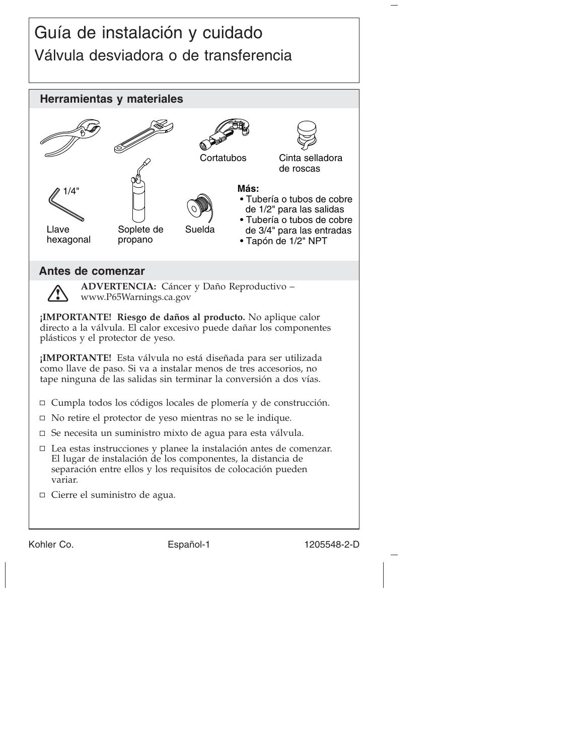# Guía de instalación y cuidado Válvula desviadora o de transferencia



Kohler Co. **Español-1** 1205548-2-D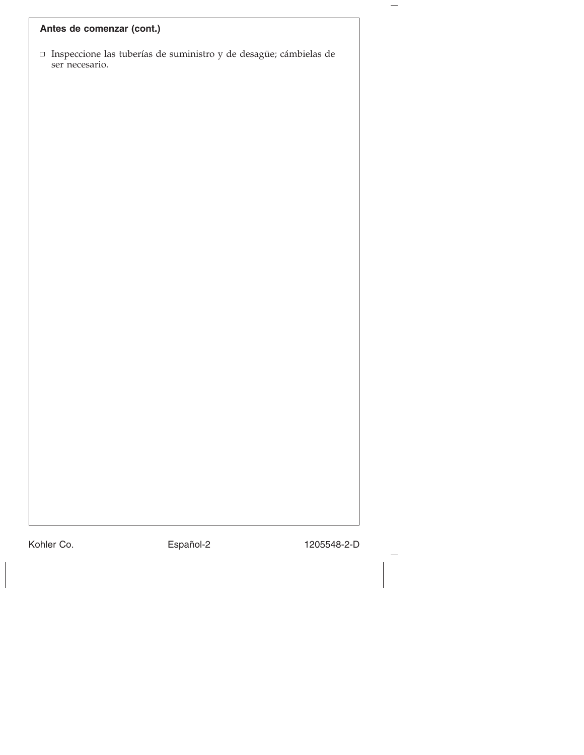# **Antes de comenzar (cont.)**

Inspeccione las tuberías de suministro y de desagüe; cámbielas de ser necesario.

Kohler Co. **Español-2** 1205548-2-D

—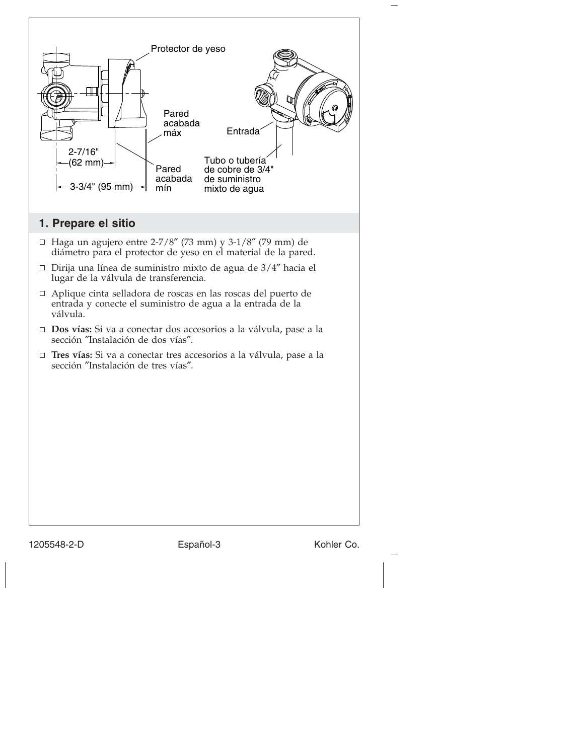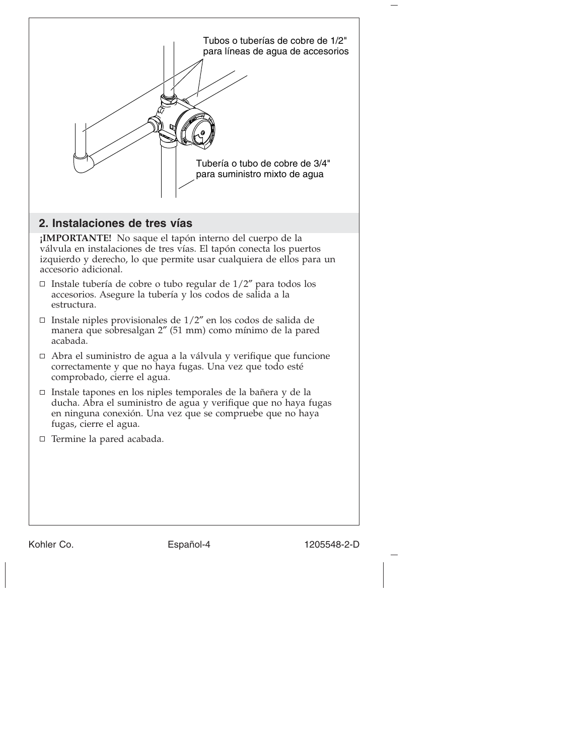

# **2. Instalaciones de tres vías**

**¡IMPORTANTE!** No saque el tapón interno del cuerpo de la válvula en instalaciones de tres vías. El tapón conecta los puertos izquierdo y derecho, lo que permite usar cualquiera de ellos para un accesorio adicional.

- □ Instale tubería de cobre o tubo regular de  $1/2$ " para todos los accesorios. Asegure la tubería y los codos de salida a la estructura.
- $\Box$  Instale niples provisionales de 1/2" en los codos de salida de manera que sobresalgan 2″ (51 mm) como mínimo de la pared acabada.
- Abra el suministro de agua a la válvula y verifique que funcione correctamente y que no haya fugas. Una vez que todo esté comprobado, cierre el agua.
- Instale tapones en los niples temporales de la bañera y de la ducha. Abra el suministro de agua y verifique que no haya fugas en ninguna conexión. Una vez que se compruebe que no haya fugas, cierre el agua.
- □ Termine la pared acabada.

Kohler Co. **Español-4** 1205548-2-D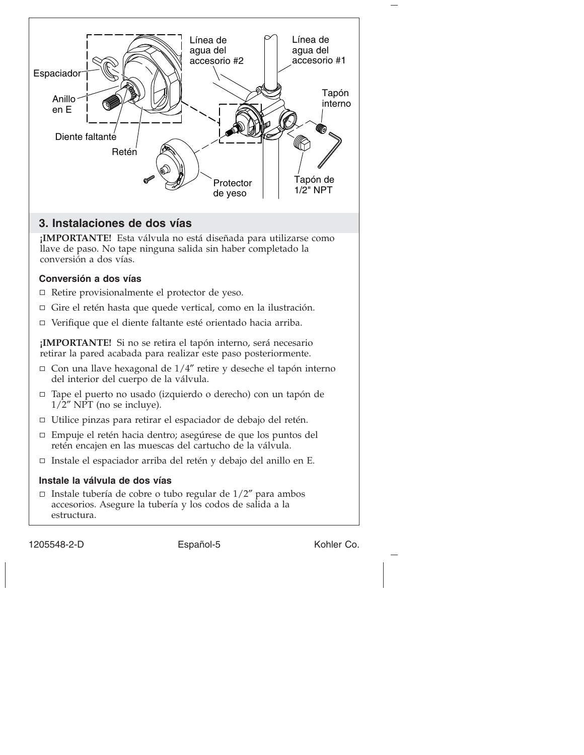

# **3. Instalaciones de dos vías**

**¡IMPORTANTE!** Esta válvula no está diseñada para utilizarse como llave de paso. No tape ninguna salida sin haber completado la conversión a dos vías.

## **Conversión a dos vías**

- □ Retire provisionalmente el protector de yeso.
- Gire el retén hasta que quede vertical, como en la ilustración.
- Verifique que el diente faltante esté orientado hacia arriba.

**¡IMPORTANTE!** Si no se retira el tapón interno, será necesario retirar la pared acabada para realizar este paso posteriormente.

- $\Box$  Con una llave hexagonal de 1/4" retire y deseche el tapón interno del interior del cuerpo de la válvula.
- □ Tape el puerto no usado (izquierdo o derecho) con un tapón de  $1/2''$  NPT (no se incluye).
- □ Utilice pinzas para retirar el espaciador de debajo del retén.
- Empuje el retén hacia dentro; asegúrese de que los puntos del retén encajen en las muescas del cartucho de la válvula.
- Instale el espaciador arriba del retén y debajo del anillo en E.

## **Instale la válvula de dos vías**

 $\Box$  Instale tubería de cobre o tubo regular de  $1/2$ " para ambos accesorios. Asegure la tubería y los codos de salida a la estructura.

1205548-2-D Español-5 Kohler Co.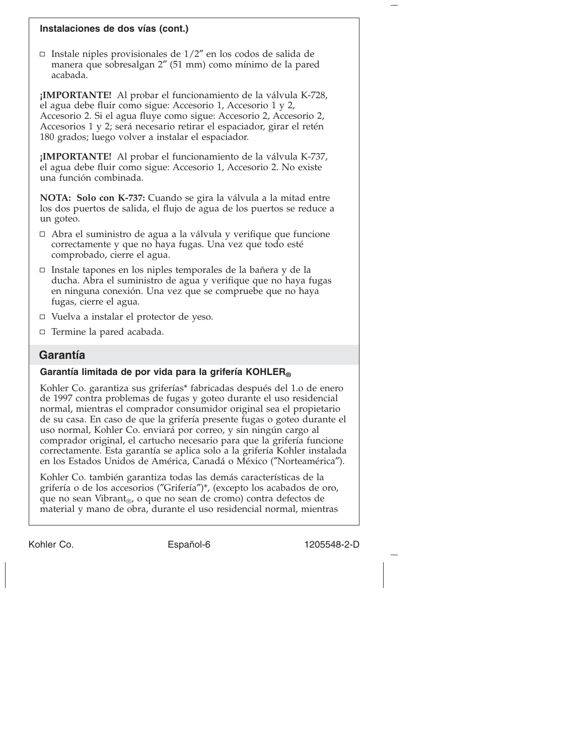#### **Instalaciones de dos vías (cont.)**

□ Instale niples provisionales de  $1/2$ " en los codos de salida de manera que sobresalgan 2″ (51 mm) como mínimo de la pared acabada.

**¡IMPORTANTE!** Al probar el funcionamiento de la válvula K-728, el agua debe fluir como sigue: Accesorio 1, Accesorio 1 y 2, Accesorio 2. Si el agua fluye como sigue: Accesorio 2, Accesorio 2, Accesorios 1 y 2; será necesario retirar el espaciador, girar el retén 180 grados; luego volver a instalar el espaciador.

**¡IMPORTANTE!** Al probar el funcionamiento de la válvula K-737, el agua debe fluir como sigue: Accesorio 1, Accesorio 2. No existe una función combinada.

**NOTA: Solo con K-737:** Cuando se gira la válvula a la mitad entre los dos puertos de salida, el flujo de agua de los puertos se reduce a un goteo.

- Abra el suministro de agua a la válvula y verifique que funcione correctamente y que no haya fugas. Una vez que todo esté comprobado, cierre el agua.
- $\Box$  Instale tapones en los niples temporales de la bañera y de la ducha. Abra el suministro de agua y verifique que no haya fugas en ninguna conexión. Una vez que se compruebe que no haya fugas, cierre el agua.
- $\Box$  Vuelva a instalar el protector de yeso.
- $\Box$  Termine la pared acabada.

## **Garantía**

#### **Garantía limitada de por vida para la grifería KOHLER®**

Kohler Co. garantiza sus griferías\* fabricadas después del 1.o de enero de 1997 contra problemas de fugas y goteo durante el uso residencial normal, mientras el comprador consumidor original sea el propietario de su casa. En caso de que la grifería presente fugas o goteo durante el uso normal, Kohler Co. enviará por correo, y sin ningún cargo al comprador original, el cartucho necesario para que la grifería funcione correctamente. Esta garantía se aplica solo a la grifería Kohler instalada en los Estados Unidos de América, Canadá o México (″Norteamérica″).

Kohler Co. también garantiza todas las demás características de la grifería o de los accesorios (″Grifería″)\*, (excepto los acabados de oro, que no sean Vibrant<sub>®</sub>, o que no sean de cromo) contra defectos de material y mano de obra, durante el uso residencial normal, mientras

Kohler Co. **Español-6** 1205548-2-D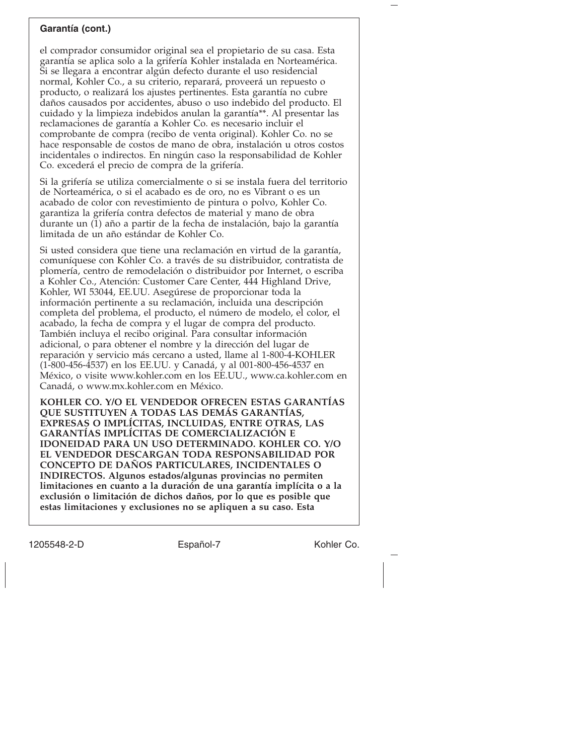#### **Garantía (cont.)**

el comprador consumidor original sea el propietario de su casa. Esta garantía se aplica solo a la grifería Kohler instalada en Norteamérica. Si se llegara a encontrar algún defecto durante el uso residencial normal, Kohler Co., a su criterio, reparará, proveerá un repuesto o producto, o realizará los ajustes pertinentes. Esta garantía no cubre daños causados por accidentes, abuso o uso indebido del producto. El cuidado y la limpieza indebidos anulan la garantía\*\*. Al presentar las reclamaciones de garantía a Kohler Co. es necesario incluir el comprobante de compra (recibo de venta original). Kohler Co. no se hace responsable de costos de mano de obra, instalación u otros costos incidentales o indirectos. En ningún caso la responsabilidad de Kohler Co. excederá el precio de compra de la grifería.

Si la grifería se utiliza comercialmente o si se instala fuera del territorio de Norteamérica, o si el acabado es de oro, no es Vibrant o es un acabado de color con revestimiento de pintura o polvo, Kohler Co. garantiza la grifería contra defectos de material y mano de obra durante un (1) año a partir de la fecha de instalación, bajo la garantía limitada de un año estándar de Kohler Co.

Si usted considera que tiene una reclamación en virtud de la garantía, comuníquese con Kohler Co. a través de su distribuidor, contratista de plomería, centro de remodelación o distribuidor por Internet, o escriba a Kohler Co., Atención: Customer Care Center, 444 Highland Drive, Kohler, WI 53044, EE.UU. Asegúrese de proporcionar toda la información pertinente a su reclamación, incluida una descripción completa del problema, el producto, el número de modelo, el color, el acabado, la fecha de compra y el lugar de compra del producto. También incluya el recibo original. Para consultar información adicional, o para obtener el nombre y la dirección del lugar de reparación y servicio más cercano a usted, llame al 1-800-4-KOHLER (1-800-456-4537) en los EE.UU. y Canadá, y al 001-800-456-4537 en México, o visite www.kohler.com en los EE.UU., www.ca.kohler.com en Canadá, o www.mx.kohler.com en México.

**KOHLER CO. Y/O EL VENDEDOR OFRECEN ESTAS GARANTÍAS QUE SUSTITUYEN A TODAS LAS DEMÁS GARANTÍAS, EXPRESAS O IMPLÍCITAS, INCLUIDAS, ENTRE OTRAS, LAS GARANTÍAS IMPLÍCITAS DE COMERCIALIZACIÓN E IDONEIDAD PARA UN USO DETERMINADO. KOHLER CO. Y/O EL VENDEDOR DESCARGAN TODA RESPONSABILIDAD POR CONCEPTO DE DAÑOS PARTICULARES, INCIDENTALES O INDIRECTOS. Algunos estados/algunas provincias no permiten limitaciones en cuanto a la duración de una garantía implícita o a la exclusión o limitación de dichos daños, por lo que es posible que estas limitaciones y exclusiones no se apliquen a su caso. Esta**

1205548-2-D Español-7 Español-7 Kohler Co.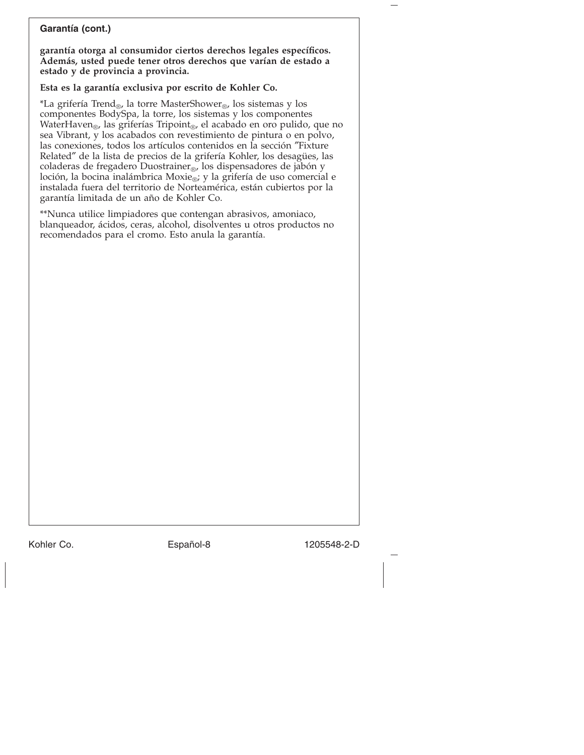#### **Garantía (cont.)**

**garantía otorga al consumidor ciertos derechos legales específicos. Además, usted puede tener otros derechos que varían de estado a estado y de provincia a provincia.**

# **Esta es la garantía exclusiva por escrito de Kohler Co.**

\*La grifería Trend®, la torre MasterShower®, los sistemas y los componentes BodySpa, la torre, los sistemas y los componentes WaterHaven<sub>®</sub>, las griferías Tripoint<sub>®</sub>, el acabado en oro pulido, que no sea Vibrant, y los acabados con revestimiento de pintura o en polvo, las conexiones, todos los artículos contenidos en la sección ″Fixture Related″ de la lista de precios de la grifería Kohler, los desagües, las coladeras de fregadero Duostrainer<sub>®</sub>, los dispensadores de jabón y loción, la bocina inalámbrica Moxie®; y la grifería de uso comercial e instalada fuera del territorio de Norteamérica, están cubiertos por la garantía limitada de un año de Kohler Co.

\*\*Nunca utilice limpiadores que contengan abrasivos, amoniaco, blanqueador, ácidos, ceras, alcohol, disolventes u otros productos no recomendados para el cromo. Esto anula la garantía.

Kohler Co. Español-8 1205548-2-D